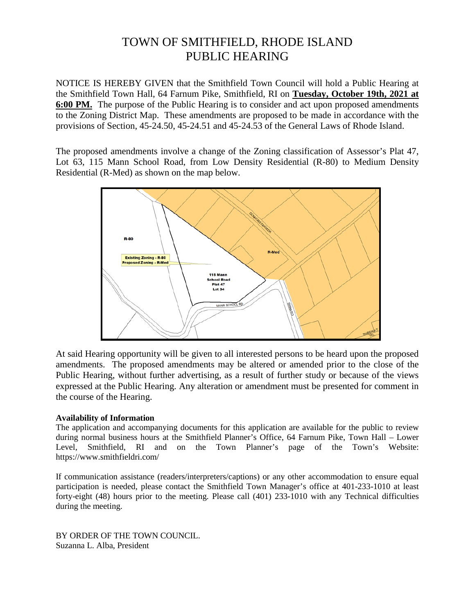# TOWN OF SMITHFIELD, RHODE ISLAND PUBLIC HEARING

NOTICE IS HEREBY GIVEN that the Smithfield Town Council will hold a Public Hearing at the Smithfield Town Hall, 64 Farnum Pike, Smithfield, RI on **Tuesday, October 19th, 2021 at 6:00 PM.** The purpose of the Public Hearing is to consider and act upon proposed amendments to the Zoning District Map. These amendments are proposed to be made in accordance with the provisions of Section, 45-24.50, 45-24.51 and 45-24.53 of the General Laws of Rhode Island.

The proposed amendments involve a change of the Zoning classification of Assessor's Plat 47, Lot 63, 115 Mann School Road, from Low Density Residential (R-80) to Medium Density Residential (R-Med) as shown on the map below.



At said Hearing opportunity will be given to all interested persons to be heard upon the proposed amendments. The proposed amendments may be altered or amended prior to the close of the Public Hearing, without further advertising, as a result of further study or because of the views expressed at the Public Hearing. Any alteration or amendment must be presented for comment in the course of the Hearing.

# **Availability of Information**

The application and accompanying documents for this application are available for the public to review during normal business hours at the Smithfield Planner's Office, 64 Farnum Pike, Town Hall – Lower Level, Smithfield, RI and on the Town Planner's page of the Town's Website: https://www.smithfieldri.com/

If communication assistance (readers/interpreters/captions) or any other accommodation to ensure equal participation is needed, please contact the Smithfield Town Manager's office at 401-233-1010 at least forty-eight (48) hours prior to the meeting. Please call (401) 233-1010 with any Technical difficulties during the meeting.

BY ORDER OF THE TOWN COUNCIL. Suzanna L. Alba, President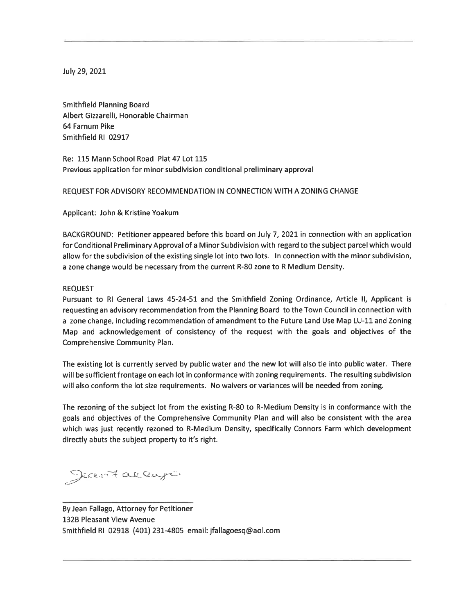July 29, 2021

**Smithfield Planning Board** Albert Gizzarelli, Honorable Chairman 64 Farnum Pike Smithfield RI 02917

Re: 115 Mann School Road Plat 47 Lot 115 Previous application for minor subdivision conditional preliminary approval

## REQUEST FOR ADVISORY RECOMMENDATION IN CONNECTION WITH A ZONING CHANGE

Applicant: John & Kristine Yoakum

BACKGROUND: Petitioner appeared before this board on July 7, 2021 in connection with an application for Conditional Preliminary Approval of a Minor Subdivision with regard to the subject parcel which would allow for the subdivision of the existing single lot into two lots. In connection with the minor subdivision, a zone change would be necessary from the current R-80 zone to R Medium Density.

### **REQUEST**

Pursuant to RI General Laws 45-24-51 and the Smithfield Zoning Ordinance, Article II, Applicant is requesting an advisory recommendation from the Planning Board to the Town Council in connection with a zone change, including recommendation of amendment to the Future Land Use Map LU-11 and Zoning Map and acknowledgement of consistency of the request with the goals and objectives of the Comprehensive Community Plan.

The existing lot is currently served by public water and the new lot will also tie into public water. There will be sufficient frontage on each lot in conformance with zoning requirements. The resulting subdivision will also conform the lot size requirements. No waivers or variances will be needed from zoning.

The rezoning of the subject lot from the existing R-80 to R-Medium Density is in conformance with the goals and objectives of the Comprehensive Community Plan and will also be consistent with the area which was just recently rezoned to R-Medium Density, specifically Connors Farm which development directly abuts the subject property to it's right.

Jean Fallago

By Jean Fallago, Attorney for Petitioner 132B Pleasant View Avenue Smithfield RI 02918 (401) 231-4805 email: jfallagoesq@aol.com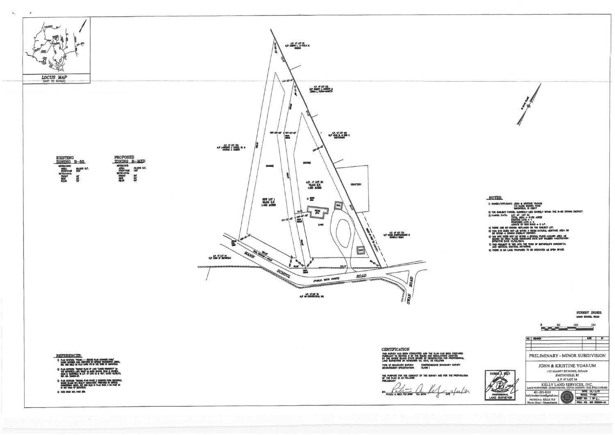

PROPOSED<br>ZONING R-MED

AUNING K-MELU<br>
MENALIS<br>
FRONTAGE 1807<br>
FRONTS 307<br>
SETBACKS: SCY<br>
SECRE 207<br>
SECRE 207<br>
SECRE 207



LOCUS MAP

 $\mathbf{c}_n$ 



#### **REFERENCES:**

- **A RAIN AND REACT COMMUNITY CONDITIONS AND STATE OF A RECORD PLAN CONDUCT FAMILY**<br>DANCE CONDITAINS (ING. PHETAPED BY DEPRETE INGRESSIVA ABOUT<br>ING. AND RELE ON PLAY CAND FRO IN THE TOWN OF SHEMPELD.
- 2) PLAN EXTREEN "SURVEY PLAN OF LAND "SUSSO PROPERTY" for<br>THE SURVEYED LAND TRUST on WANN SCHOOL ROAD & COUNSU.<br>ROAD IN SURVEYED, IN J.P. 47 LOTE 33 & RM, DATED 10/20/11<br>REF. NO. 108003-3P.
- 3) Man Entruse "Nexuro Paan Paase 2 connors fains submitele<br>Charles Hamo NY Avalaty Associates", Premard by Dippede<br>Charles Man of Susmitelo.<br>Hi we youn of Susmitelo.
- 4 0650 BOOK 457, PACE 350.

**CERTIFICATION** was survey has existed conducted and the flan has been prepared<br>thresurvey to section 9 of the rules and regulations adopted<br>by the rhode heaving state board of regulations for professional<br>lake burneyors on hovemied 25, 2 

the purpose for the conduct of the survey and for the preparation<br>of the plan is as follows:<br>Prelimbary

 $\frac{1}{2}$  $\frac{1}{\frac{1}{\frac{1}{1}}\frac{1}{\frac{1}{1}}\frac{1}{1}}\frac{1}{\frac{1}{1}}\frac{1}{\frac{1}{1}}\frac{1}{\frac{1}{1}}\frac{1}{\frac{1}{1}}\frac{1}{\frac{1}{1}}\frac{1}{\frac{1}{1}}\frac{1}{\frac{1}{1}}\frac{1}{\frac{1}{1}}\frac{1}{\frac{1}{1}}\frac{1}{\frac{1}{1}}\frac{1}{\frac{1}{1}}\frac{1}{\frac{1}{1}}\frac{1}{\frac{1}{1}}\frac{1}{\frac{1}{1}}\frac{1}{\frac{1}{1}}\frac{1$ đ



## NOTES:

- 
- -
	-
	-
- 
- 
- 
- 
- 

|                                 | <b>STREET INDEX</b><br>MAKN SCHOOL ROAD                                                                                            |                                                                                      |  |
|---------------------------------|------------------------------------------------------------------------------------------------------------------------------------|--------------------------------------------------------------------------------------|--|
|                                 | 60<br>100<br>o                                                                                                                     | 180                                                                                  |  |
|                                 | <b>REVISION</b><br>NO. I                                                                                                           | DOT<br>í۳                                                                            |  |
| PRELIMINARY - MINOR SUBDIVISION |                                                                                                                                    |                                                                                      |  |
|                                 | JOHN & KRISTINE YOAKUM<br>115 MANN SCHOOL ROAD                                                                                     |                                                                                      |  |
| <b>PATRICIA</b>                 | SMITHFIELD, RI<br>A.P. 47 LOT 34<br>KELLY LAND SERVICES, INC.<br>LAND SURVITUNG - SUBDIVISIONS - SEPTIC DISIGNS - SOIL EVALUATIONS |                                                                                      |  |
|                                 |                                                                                                                                    |                                                                                      |  |
| ROFESIKONAL<br>AND SURVEYOR     | 401-293-0535<br>kellylandservices@amail.com<br>$\mathcal{E}_{\text{tr}}$ .<br><b>City</b><br>PATRICIA A. KELLY, PLS                | DATE: 05/12/21<br><b>SCALE:</b><br>$1^{\circ}$ = 50°<br>SHEET NO:<br>10 <sub>1</sub> |  |
|                                 | Rhode Island - Massachusetts                                                                                                       | PROJ. NO:<br><b>842 200806-US</b>                                                    |  |